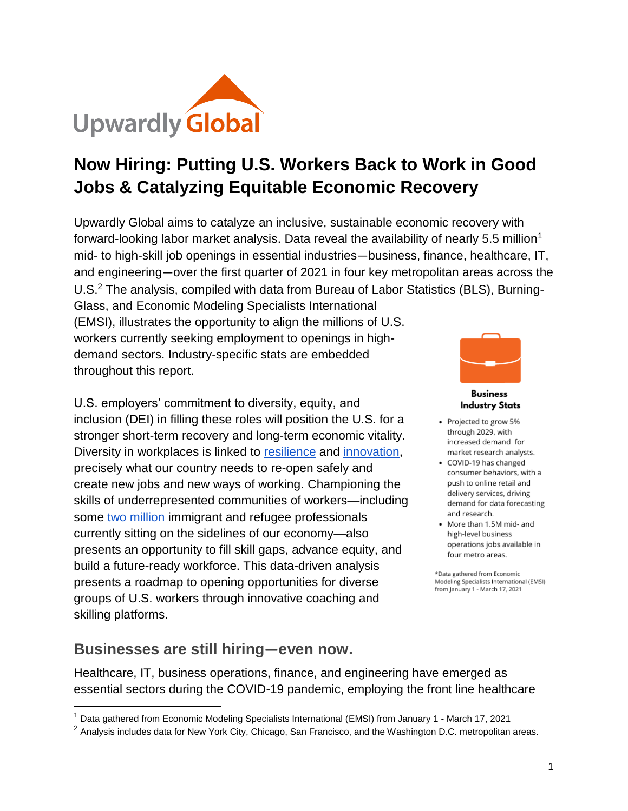

# **Now Hiring: Putting U.S. Workers Back to Work in Good Jobs & Catalyzing Equitable Economic Recovery**

Upwardly Global aims to catalyze an inclusive, sustainable economic recovery with forward-looking labor market analysis. Data reveal the availability of nearly 5.5 million<sup>1</sup> mid- to high-skill job openings in essential industries—business, finance, healthcare, IT, and engineering—over the first quarter of 2021 in four key metropolitan areas across the U.S.<sup>2</sup> The analysis, compiled with data from Bureau of Labor Statistics (BLS), Burning-

Glass, and Economic Modeling Specialists International (EMSI), illustrates the opportunity to align the millions of U.S. workers currently seeking employment to openings in highdemand sectors. Industry-specific stats are embedded throughout this report.

U.S. employers' commitment to diversity, equity, and inclusion (DEI) in filling these roles will position the U.S. for a stronger short-term recovery and long-term economic vitality. Diversity in workplaces is linked to [resilience](https://sloanreview.mit.edu/article/the-link-between-diversity-and-resilience/) and [innovation,](https://hbr.org/2013/12/how-diversity-can-drive-innovation) precisely what our country needs to re-open safely and create new jobs and new ways of working. Championing the skills of underrepresented communities of workers—including some [two million](https://www.migrationpolicy.org/research/untapped-talent-costs-brain-waste-among-highly-skilled-immigrants-united-states) immigrant and refugee professionals currently sitting on the sidelines of our economy—also presents an opportunity to fill skill gaps, advance equity, and build a future-ready workforce. This data-driven analysis presents a roadmap to opening opportunities for diverse groups of U.S. workers through innovative coaching and skilling platforms.



**Business Industry Stats** 

- Projected to grow 5% through 2029, with increased demand for market research analysts.
- COVID-19 has changed consumer behaviors, with a push to online retail and delivery services, driving demand for data forecasting and research.
- More than 1.5M mid- and high-level business operations jobs available in four metro areas.

\*Data gathered from Economic Modeling Specialists International (EMSI) from January 1 - March 17, 2021

### **Businesses are still hiring—even now.**

Healthcare, IT, business operations, finance, and engineering have emerged as essential sectors during the COVID-19 pandemic, employing the front line healthcare

<sup>1</sup> Data gathered from Economic Modeling Specialists International (EMSI) from January 1 - March 17, 2021

<sup>&</sup>lt;sup>2</sup> Analysis includes data for New York City, Chicago, San Francisco, and the Washington D.C. metropolitan areas.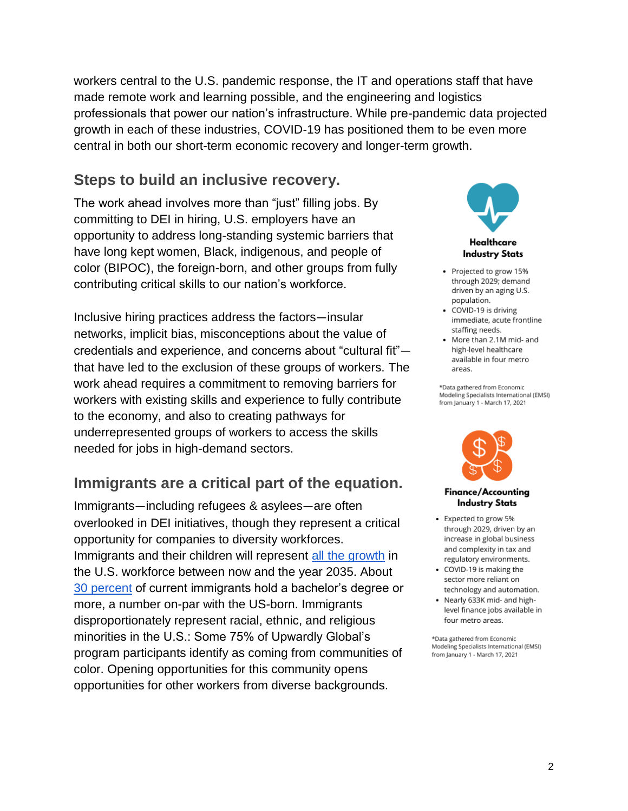workers central to the U.S. pandemic response, the IT and operations staff that have made remote work and learning possible, and the engineering and logistics professionals that power our nation's infrastructure. While pre-pandemic data projected growth in each of these industries, COVID-19 has positioned them to be even more central in both our short-term economic recovery and longer-term growth.

### **Steps to build an inclusive recovery.**

The work ahead involves more than "just" filling jobs. By committing to DEI in hiring, U.S. employers have an opportunity to address long-standing systemic barriers that have long kept women, Black, indigenous, and people of color (BIPOC), the foreign-born, and other groups from fully contributing critical skills to our nation's workforce.

Inclusive hiring practices address the factors—insular networks, implicit bias, misconceptions about the value of credentials and experience, and concerns about "cultural fit" that have led to the exclusion of these groups of workers. The work ahead requires a commitment to removing barriers for workers with existing skills and experience to fully contribute to the economy, and also to creating pathways for underrepresented groups of workers to access the skills needed for jobs in high-demand sectors.

## **Immigrants are a critical part of the equation.**

Immigrants—including refugees & asylees—are often overlooked in DEI initiatives, though they represent a critical opportunity for companies to diversity workforces. Immigrants and their children will represent [all the growth](https://immigrationforum.org/article/immigrants-as-economic-contributors-they-are-the-new-american-workforce/) in the U.S. workforce between now and the year 2035. About [30 percent](https://www.pewresearch.org/fact-tank/2018/09/14/education-levels-of-u-s-immigrants-are-on-the-rise/) of current immigrants hold a bachelor's degree or more, a number on-par with the US-born. Immigrants disproportionately represent racial, ethnic, and religious minorities in the U.S.: Some 75% of Upwardly Global's program participants identify as coming from communities of color. Opening opportunities for this community opens opportunities for other workers from diverse backgrounds.



- Projected to grow 15% through 2029; demand driven by an aging U.S. population.
- COVID-19 is driving immediate, acute frontline staffing needs.
- More than 2.1M mid- and high-level healthcare available in four metro areas.

\*Data gathered from Economic Modeling Specialists International (EMSI) from January 1 - March 17, 2021



#### Finance/Accounting **Industry Stats**

- Expected to grow 5% through 2029, driven by an increase in global business and complexity in tax and regulatory environments.
- COVID-19 is making the sector more reliant on technology and automation.
- Nearly 633K mid- and highlevel finance jobs available in four metro areas.

\*Data gathered from Economic Modeling Specialists International (EMSI) from January 1 - March 17, 2021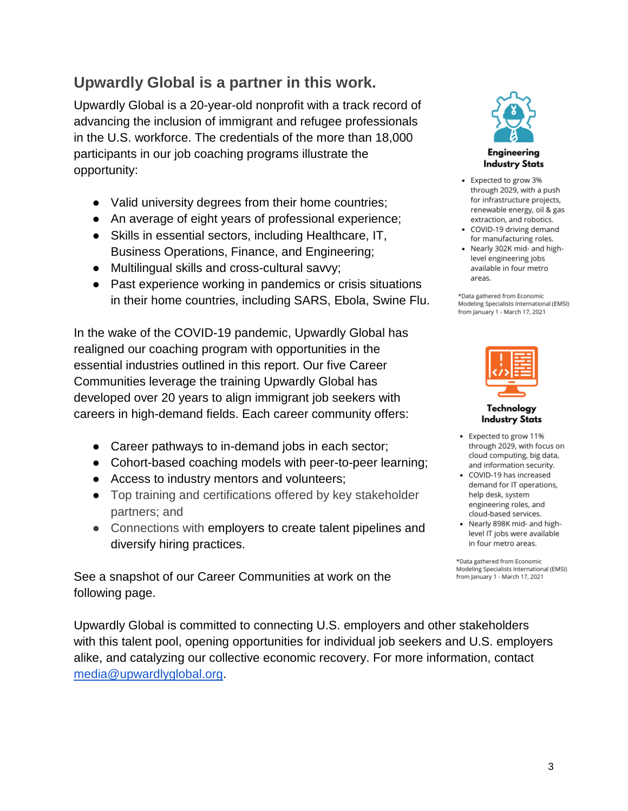## **Upwardly Global is a partner in this work.**

Upwardly Global is a 20-year-old nonprofit with a track record of advancing the inclusion of immigrant and refugee professionals in the U.S. workforce. The credentials of the more than 18,000 participants in our job coaching programs illustrate the opportunity:

- Valid university degrees from their home countries;
- An average of eight years of professional experience;
- Skills in essential sectors, including Healthcare, IT, Business Operations, Finance, and Engineering;
- Multilingual skills and cross-cultural savvy;
- Past experience working in pandemics or crisis situations in their home countries, including SARS, Ebola, Swine Flu.

In the wake of the COVID-19 pandemic, Upwardly Global has realigned our coaching program with opportunities in the essential industries outlined in this report. Our five Career Communities leverage the training Upwardly Global has developed over 20 years to align immigrant job seekers with careers in high-demand fields. Each career community offers:

- Career pathways to in-demand jobs in each sector;
- Cohort-based coaching models with peer-to-peer learning;
- Access to industry mentors and volunteers;
- Top training and certifications offered by key stakeholder partners; and
- Connections with employers to create talent pipelines and diversify hiring practices.

See a snapshot of our Career Communities at work on the following page.

Upwardly Global is committed to connecting U.S. employers and other stakeholders with this talent pool, opening opportunities for individual job seekers and U.S. employers alike, and catalyzing our collective economic recovery. For more information, contact [media@upwardlyglobal.org.](mailto:media@upwardlyglobal.org)



- Expected to grow 3% through 2029, with a push for infrastructure projects, renewable energy, oil & gas extraction, and robotics.
- COVID-19 driving demand for manufacturing roles.
- Nearly 302K mid- and highlevel engineering jobs available in four metro areas.

\*Data gathered from Economic Modeling Specialists International (EMSI) from January 1 - March 17, 2021



**Industry Stats** · Expected to grow 11%

- through 2029, with focus on cloud computing, big data, and information security. • COVID-19 has increased
- demand for IT operations, help desk, system engineering roles, and cloud-based services.
- Nearly 898K mid- and highlevel IT jobs were available in four metro areas.

\*Data gathered from Economic Modeling Specialists International (EMSI) from January 1 - March 17, 2021